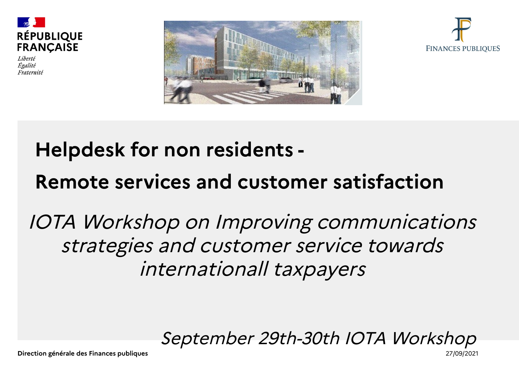

Liberté Égalité Fraternité





#### **Helpdesk for non residents -**

#### **Remote services and customer satisfaction**

#### IOTA Workshop on Improving communications strategies and customer service towards internationall taxpayers

September 29th-30th IOTA Workshop

**Direction générale des Finances publiques** 27/09/2021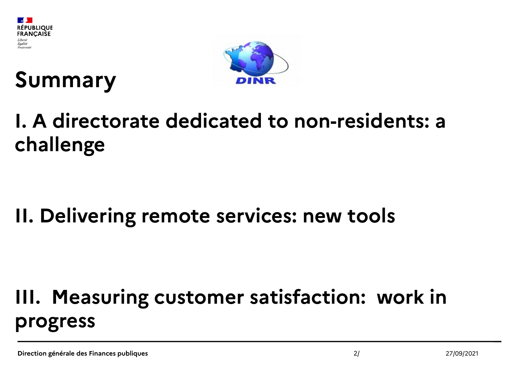





#### **I. A directorate dedicated to non-residents: a challenge**

#### **II. Delivering remote services: new tools**

#### **III. Measuring customer satisfaction: work in progress**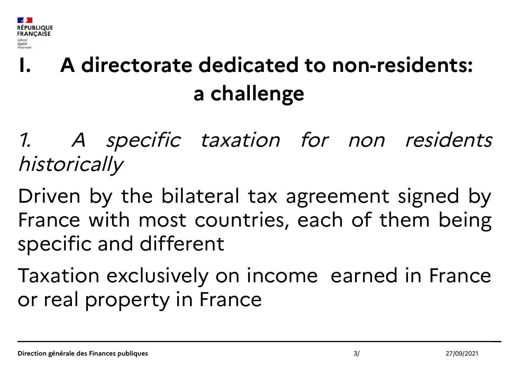

## **I. A directorate dedicated to non-residents: a challenge**

1. A specific taxation for non residents historically

Driven by the bilateral tax agreement signed by France with most countries, each of them being specific and different

Taxation exclusively on income earned in France or real property in France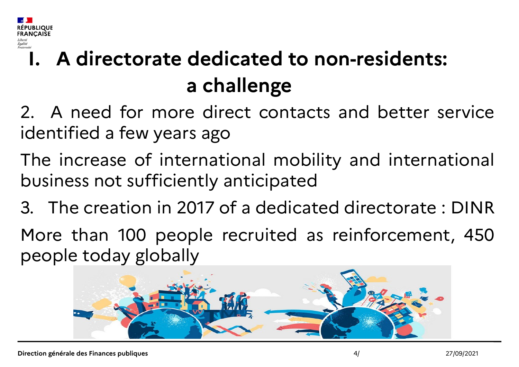

## **I. A directorate dedicated to non-residents: a challenge**

2. A need for more direct contacts and better service identified a few years ago

The increase of international mobility and international business not sufficiently anticipated

3. The creation in 2017 of a dedicated directorate : DINR

More than 100 people recruited as reinforcement, 450 people today globally

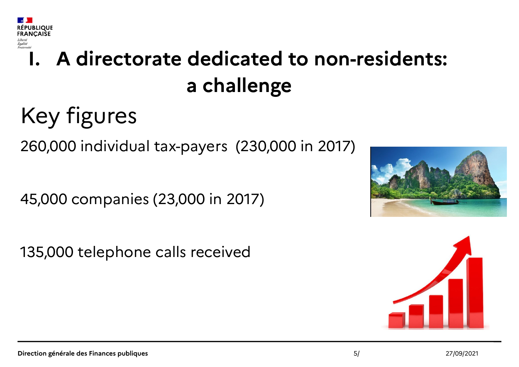

## **I. A directorate dedicated to non-residents: a challenge**

# Key figures

260,000 individual tax-payers (230,000 in 2017)

45,000 companies (23,000 in 2017)

135,000 telephone calls received



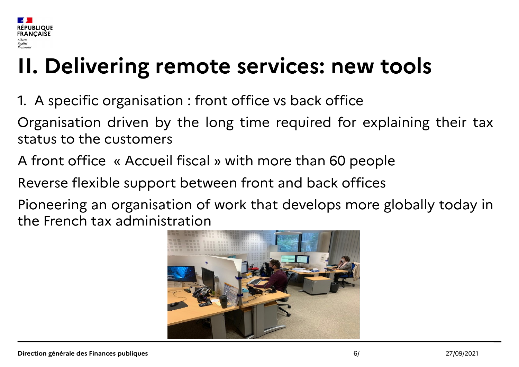

## **II. Delivering remote services: new tools**

1. A specific organisation : front office vs back office

Organisation driven by the long time required for explaining their tax status to the customers

A front office « Accueil fiscal » with more than 60 people

Reverse flexible support between front and back offices

Pioneering an organisation of work that develops more globally today in the French tax administration

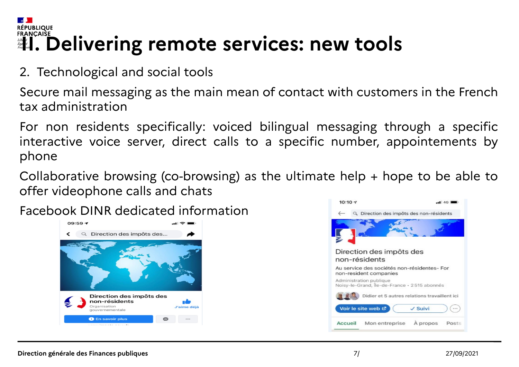#### **RÉPUBLIQUE** ERANÇAIŠE<br>**II. Delivering remote services: new tools**

2. Technological and social tools

Secure mail messaging as the main mean of contact with customers in the French tax administration

For non residents specifically: voiced bilingual messaging through a specific interactive voice server, direct calls to a specific number, appointements by phone

Collaborative browsing (co-browsing) as the ultimate help + hope to be able to offer videophone calls and chats

Facebook DINR dedicated information



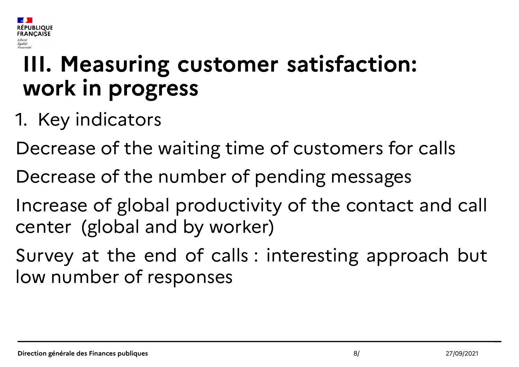

## **III. Measuring customer satisfaction: work in progress**

- 1. Key indicators
- Decrease of the waiting time of customers for calls
- Decrease of the number of pending messages
- Increase of global productivity of the contact and call center (global and by worker)
- Survey at the end of calls : interesting approach but low number of responses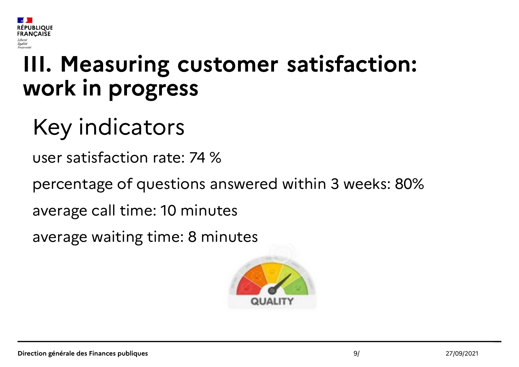

## **III. Measuring customer satisfaction: work in progress**

# Key indicators

user satisfaction rate: 74 %

percentage of questions answered within 3 weeks: 80%

average call time: 10 minutes

average waiting time: 8 minutes